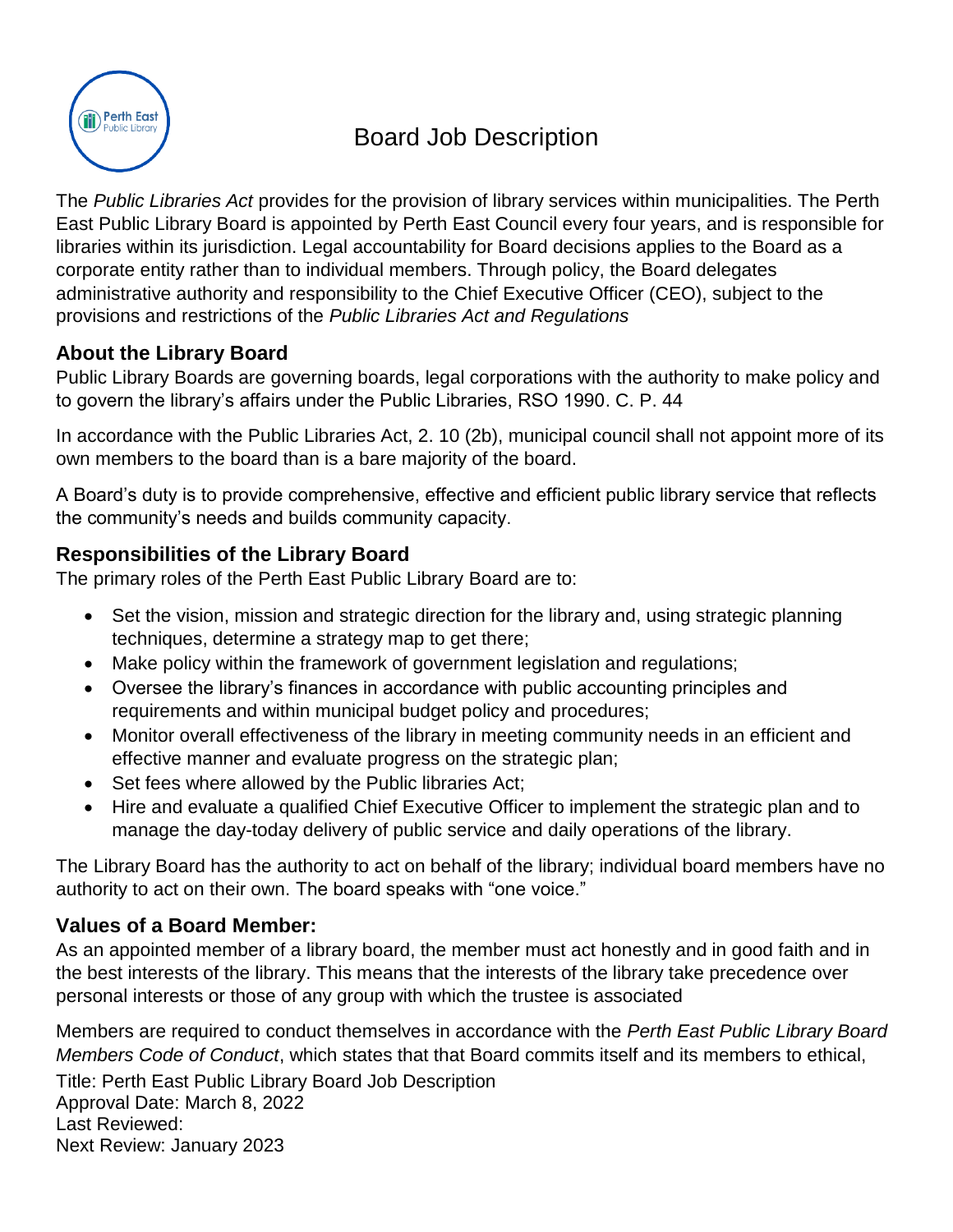

# Board Job Description

The *Public Libraries Act* provides for the provision of library services within municipalities. The Perth East Public Library Board is appointed by Perth East Council every four years, and is responsible for libraries within its jurisdiction. Legal accountability for Board decisions applies to the Board as a corporate entity rather than to individual members. Through policy, the Board delegates administrative authority and responsibility to the Chief Executive Officer (CEO), subject to the provisions and restrictions of the *Public Libraries Act and Regulations*

# **About the Library Board**

Public Library Boards are governing boards, legal corporations with the authority to make policy and to govern the library's affairs under the Public Libraries, RSO 1990. C. P. 44

In accordance with the Public Libraries Act, 2. 10 (2b), municipal council shall not appoint more of its own members to the board than is a bare majority of the board.

A Board's duty is to provide comprehensive, effective and efficient public library service that reflects the community's needs and builds community capacity.

# **Responsibilities of the Library Board**

The primary roles of the Perth East Public Library Board are to:

- Set the vision, mission and strategic direction for the library and, using strategic planning techniques, determine a strategy map to get there;
- Make policy within the framework of government legislation and regulations;
- Oversee the library's finances in accordance with public accounting principles and requirements and within municipal budget policy and procedures;
- Monitor overall effectiveness of the library in meeting community needs in an efficient and effective manner and evaluate progress on the strategic plan;
- Set fees where allowed by the Public libraries Act;
- Hire and evaluate a qualified Chief Executive Officer to implement the strategic plan and to manage the day-today delivery of public service and daily operations of the library.

The Library Board has the authority to act on behalf of the library; individual board members have no authority to act on their own. The board speaks with "one voice."

## **Values of a Board Member:**

As an appointed member of a library board, the member must act honestly and in good faith and in the best interests of the library. This means that the interests of the library take precedence over personal interests or those of any group with which the trustee is associated

Title: Perth East Public Library Board Job Description Approval Date: March 8, 2022 Last Reviewed: Next Review: January 2023 Members are required to conduct themselves in accordance with the *Perth East Public Library Board Members Code of Conduct*, which states that that Board commits itself and its members to ethical,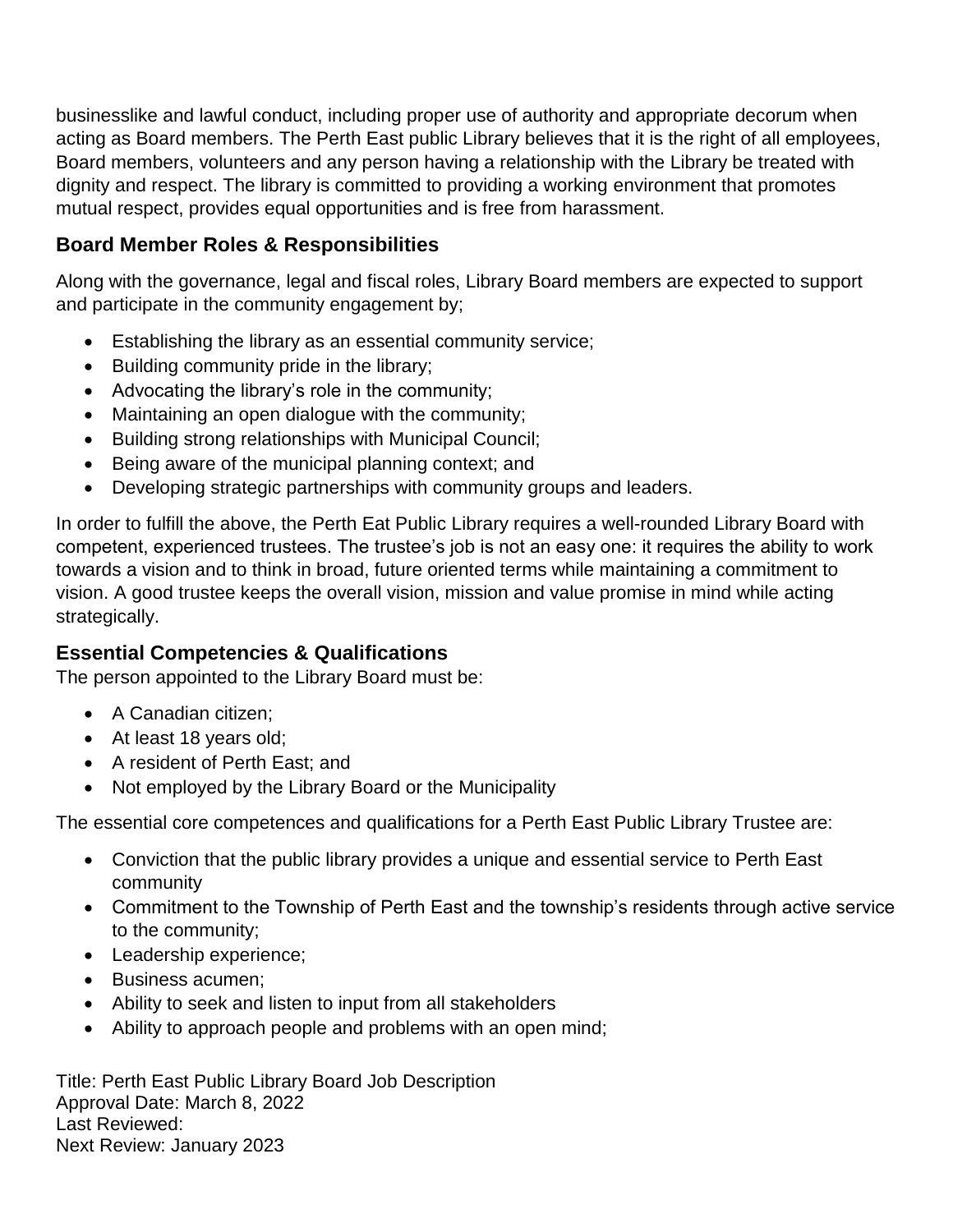businesslike and lawful conduct, including proper use of authority and appropriate decorum when acting as Board members. The Perth East public Library believes that it is the right of all employees, Board members, volunteers and any person having a relationship with the Library be treated with dignity and respect. The library is committed to providing a working environment that promotes mutual respect, provides equal opportunities and is free from harassment.

## **Board Member Roles & Responsibilities**

Along with the governance, legal and fiscal roles, Library Board members are expected to support and participate in the community engagement by;

- Establishing the library as an essential community service;
- Building community pride in the library;
- Advocating the library's role in the community;
- Maintaining an open dialogue with the community;
- Building strong relationships with Municipal Council;
- Being aware of the municipal planning context; and
- Developing strategic partnerships with community groups and leaders.

In order to fulfill the above, the Perth Eat Public Library requires a well-rounded Library Board with competent, experienced trustees. The trustee's job is not an easy one: it requires the ability to work towards a vision and to think in broad, future oriented terms while maintaining a commitment to vision. A good trustee keeps the overall vision, mission and value promise in mind while acting strategically.

## **Essential Competencies & Qualifications**

The person appointed to the Library Board must be:

- A Canadian citizen:
- At least 18 years old:
- A resident of Perth East; and
- Not employed by the Library Board or the Municipality

The essential core competences and qualifications for a Perth East Public Library Trustee are:

- Conviction that the public library provides a unique and essential service to Perth East community
- Commitment to the Township of Perth East and the township's residents through active service to the community;
- Leadership experience;
- Business acumen:
- Ability to seek and listen to input from all stakeholders
- Ability to approach people and problems with an open mind;

Title: Perth East Public Library Board Job Description Approval Date: March 8, 2022 Last Reviewed: Next Review: January 2023